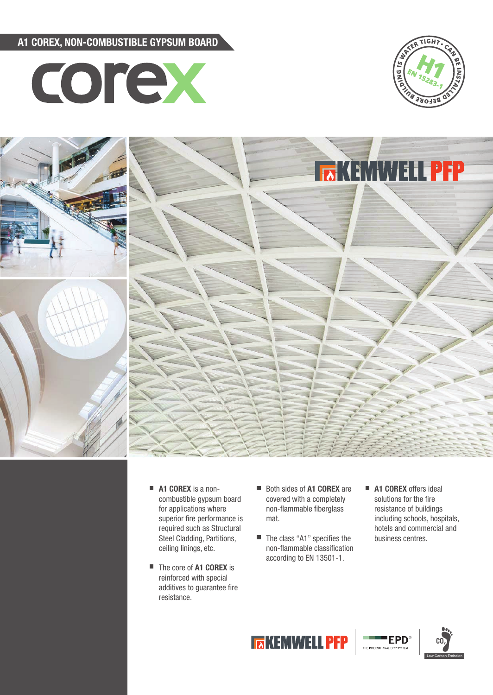A1 COREX, NON-COMBUSTIBLE GYPSUM BOARD







- A1 COREX is a noncombustible gypsum board for applications where superior fire performance is required such as Structural Steel Cladding, Partitions, ceiling linings, etc.
- The core of **A1 COREX** is reinforced with special additives to guarantee fire resistance.
- Both sides of **A1 COREX** are covered with a completely non-flammable fiberglass mat.
- $\blacksquare$  The class "A1" specifies the non-flammable classification according to EN 13501-1.
- A1 COREX offers ideal solutions for the fire resistance of buildings including schools, hospitals, hotels and commercial and business centres.